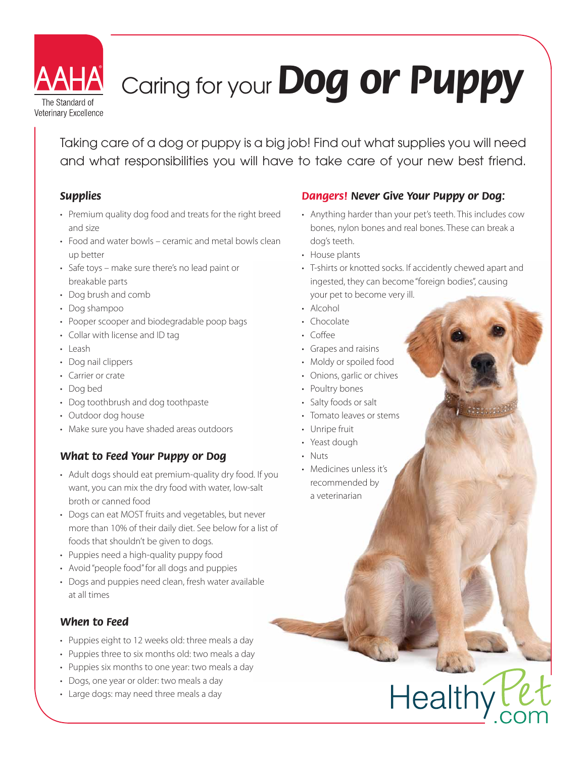

# Caring for your *Dog or Puppy*

Veterinary Excellence

Taking care of a dog or puppy is a big job! Find out what supplies you will need and what responsibilities you will have to take care of your new best friend.

## *Supplies*

- Premium quality dog food and treats for the right breed and size
- Food and water bowls ceramic and metal bowls clean up better
- Safe toys make sure there's no lead paint or breakable parts
- Dog brush and comb
- Dog shampoo
- Pooper scooper and biodegradable poop bags
- $\cdot$  Collar with license and ID tag
- Leash
- Dog nail clippers
- Carrier or crate
- Dog bed
- Dog toothbrush and dog toothpaste
- Outdoor dog house
- Make sure you have shaded areas outdoors

## *What to Feed Your Puppy or Dog*

- Adult dogs should eat premium-quality dry food. If you want, you can mix the dry food with water, low-salt broth or canned food
- Dogs can eat MOST fruits and vegetables, but never more than 10% of their daily diet. See below for a list of foods that shouldn't be given to dogs.
- Puppies need a high-quality puppy food
- Avoid "people food" for all dogs and puppies
- Dogs and puppies need clean, fresh water available at all times

## *When to Feed*

- Puppies eight to 12 weeks old: three meals a day
- Puppies three to six months old: two meals a day
- Puppies six months to one year: two meals a day
- Dogs, one year or older: two meals a day
- Large dogs: may need three meals a day

## *Dangers! Never Give Your Puppy or Dog:*

- Anything harder than your pet's teeth. This includes cow bones, nylon bones and real bones. These can break a dog's teeth.
- $\cdot$  House plants
- T-shirts or knotted socks. If accidently chewed apart and ingested, they can become "foreign bodies", causing your pet to become very ill.
- Alcohol
- Chocolate
- $\cdot$  Coffee
- Grapes and raisins
- Moldy or spoiled food
- Onions, garlic or chives
- Poultry bones
- Salty foods or salt
- Tomato leaves or stems
- Unripe fruit
- Yeast dough
- Nuts
- Medicines unless it's recommended by a veterinarian

Healthy